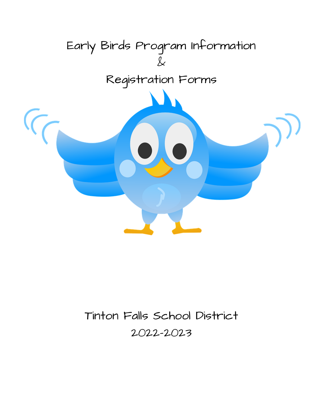

# Tinton Falls School District 2022-2023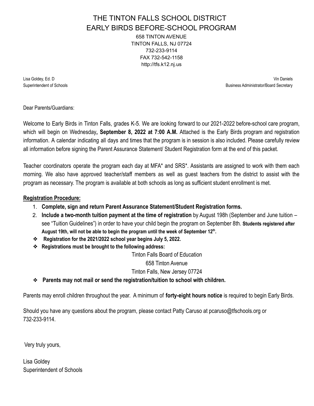### THE TINTON FALLS SCHOOL DISTRICT EARLY BIRDS BEFORE-SCHOOL PROGRAM 658 TINTON AVENUE TINTON FALLS, NJ 07724 732-233-9114 FAX 732-542-1158 http://tfs.k12.nj.us

Lisa Goldey, Ed. D Vin Daniels Superintendent of Schools **Business Administrator/Board Secretary** and Secretary and Secretary and Secretary and Secretary and Secretary and Secretary and Secretary and Secretary and Secretary and Secretary and Secretary a

Dear Parents/Guardians:

Welcome to Early Birds in Tinton Falls, grades K-5. We are looking forward to our 2021-2022 before-school care program, which will begin on Wednesday**, September 8, 2022 at 7:00 A.M.** Attached is the Early Birds program and registration information. A calendar indicating all days and times that the program is in session is also included. Please carefully review all information before signing the Parent Assurance Statement/ Student Registration form at the end of this packet.

Teacher coordinators operate the program each day at MFA\* and SRS\*. Assistants are assigned to work with them each morning. We also have approved teacher/staff members as well as guest teachers from the district to assist with the program as necessary. The program is available at both schools as long as sufficient student enrollment is met.

#### **Registration Procedure:**

- 1. **Complete, sign and return Parent Assurance Statement/Student Registration forms.**
- 2. **Include a two-month tuition payment at the time of registration** by August 198h (September and June tuition see "Tuition Guidelines") in order to have your child begin the program on September 8th. **Students registered after August 19th, will not be able to begin the program until the week of September 12th .**
- ❖ **Registration for the 2021/2022 school year begins July 5, 2022.**
- ❖ **Registrations must be brought to the following address:**

Tinton Falls Board of Education

658 Tinton Avenue

Tinton Falls, New Jersey 07724

❖ **Parents may not mail or send the registration/tuition to school with children.**

Parents may enroll children throughout the year. A minimum of **forty-eight hours notice** is required to begin Early Birds.

Should you have any questions about the program, please contact Patty Caruso at pcaruso@tfschools.org or 732-233-9114.

Very truly yours,

Lisa Goldey Superintendent of Schools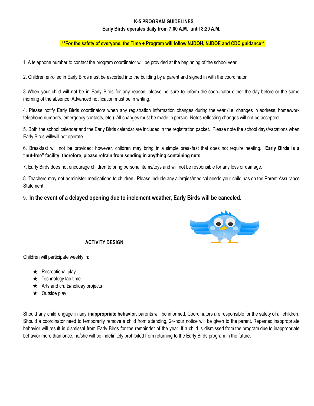#### **K-5 PROGRAM GUIDELINES**

#### **Early Birds operates daily from 7:00 A.M. until 8:20 A.M.**

#### **\*\*For the safety of everyone, the Time + Program will follow NJDOH, NJDOE and CDC guidance\*\***

1. A telephone number to contact the program coordinator will be provided at the beginning of the school year.

2. Children enrolled in Early Birds must be escorted into the building by a parent and signed in with the coordinator.

3 When your child will not be in Early Birds for any reason, please be sure to inform the coordinator either the day before or the same morning of the absence. Advanced notification must be in writing.

4. Please notify Early Birds coordinators when any registration information changes during the year (i.e. changes in address, home/work telephone numbers, emergency contacts, etc.). All changes must be made in person. Notes reflecting changes will not be accepted.

5. Both the school calendar and the Early Birds calendar are included in the registration packet. Please note the school days/vacations when Early Birds will/will not operate.

6. Breakfast will not be provided; however, children may bring in a simple breakfast that does not require heating. **Early Birds is a "nut-free" facility; therefore**, **please refrain from sending in anything containing nuts.**

7. Early Birds does not encourage children to bring personal items/toys and will not be responsible for any loss or damage.

8. Teachers may not administer medications to children. Please include any allergies/medical needs your child has on the Parent Assurance Statement.

#### 9. **In the event of a delayed opening due to inclement weather, Early Birds will be canceled.**



#### **ACTIVITY DESIGN**

Children will participate weekly in:

- $\star$  Recreational play
- $\star$  Technology lab time
- $\star$  Arts and crafts/holiday projects
- $\star$  Outside play

Should any child engage in any **inappropriate behavior**, parents will be informed. Coordinators are responsible for the safety of all children. Should a coordinator need to temporarily remove a child from attending, 24-hour notice will be given to the parent. Repeated inappropriate behavior will result in dismissal from Early Birds for the remainder of the year. If a child is dismissed from the program due to inappropriate behavior more than once, he/she will be indefinitely prohibited from returning to the Early Birds program in the future.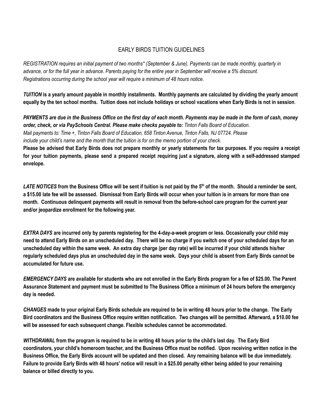### EARLY BIRDS TUITION GUIDELINES

REGISTRATION requires an initial payment of two months\* (September & June). Payments can be made monthly, quarterly in advance, or for the full year in advance. Parents paying for the entire year in September will receive a 5% discount. *Registrations occurring during the school year will require a minimum of 48 hours notice.*

TUITION is a yearly amount payable in monthly installments. Monthly payments are calculated by dividing the yearly amount equally by the ten school months. Tuition does not include holidays or school vacations when Early Birds is not in session.

PAYMENTS are due in the Business Office on the first day of each month. Payments may be made in the form of cash, money *order, check, or via PaySchools Central. Please make checks payable to: Tinton Falls Board of Education.* Mail payments to: Time +, Tinton Falls Board of Education, 658 Tinton Avenue, Tinton Falls, NJ 07724. Please include your child's name and the month that the tuition is for on the memo portion of your check.

Please be advised that Early Birds does not prepare monthly or yearly statements for tax purposes. If you require a receipt for your tuition payments, please send a prepared receipt requiring just a signature, along with a self-addressed stamped **envelope.**

LATE NOTICES from the Business Office will be sent if tuition is not paid by the 5<sup>th</sup> of the month. Should a reminder be sent, a \$15.00 late fee will be assessed. Dismissal from Early Birds will occur when your tuition is in arrears for more than one month. Continuous delinquent payments will result in removal from the before-school care program for the current year **and/or jeopardize enrollment for the following year.**

EXTRA DAYS are incurred only by parents registering for the 4-day-a-week program or less. Occasionally your child may need to attend Early Birds on an unscheduled day. There will be no charge if you switch one of your scheduled days for an unscheduled day within the same week. An extra day charge (per day rate) will be incurred if your child attends his/her regularly scheduled days plus an unscheduled day in the same week. Days your child is absent from Early Birds cannot be **accumulated for future use.**

EMERGENCY DAYS are available for students who are not enrolled in the Early Birds program for a fee of \$25.00. The Parent Assurance Statement and payment must be submitted to The Business Office a minimum of 24 hours before the emergency **day is needed.**

CHANGES made to your original Early Birds schedule are required to be in writing 48 hours prior to the change. The Early Bird coordinators and the Business Office require written notification. Two changes will be permitted. Afterward, a \$10.00 fee **will be assessed for each subsequent change. Flexible schedules cannot be accommodated.**

WITHDRAWAL from the program is required to be in writing 48 hours prior to the child's last day. The Early Bird coordinators, your child's homeroom teacher, and the Business Office must be notified. Upon receiving written notice in the Business Office, the Early Birds account will be updated and then closed. Any remaining balance will be due immediately. Failure to provide Early Birds with 48 hours' notice will result in a \$25.00 penalty either being added to your remaining **balance or billed directly to you.**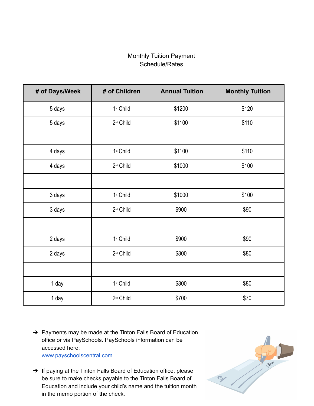## Monthly Tuition Payment Schedule/Rates

| # of Days/Week | # of Children         | <b>Annual Tuition</b> | <b>Monthly Tuition</b> |  |  |
|----------------|-----------------------|-----------------------|------------------------|--|--|
| 5 days         | 1st Child             | \$1200                | \$120                  |  |  |
| 5 days         | 2 <sup>nd</sup> Child | \$1100                | \$110                  |  |  |
|                |                       |                       |                        |  |  |
| 4 days         | 1st Child             | \$1100                | \$110                  |  |  |
| 4 days         | 2 <sup>nd</sup> Child | \$1000                | \$100                  |  |  |
|                |                       |                       |                        |  |  |
| 3 days         | 1st Child             | \$1000                | \$100                  |  |  |
| 3 days         | 2 <sup>nd</sup> Child | \$900                 | \$90                   |  |  |
|                |                       |                       |                        |  |  |
| 2 days         | 1st Child             | \$900                 | \$90                   |  |  |
| 2 days         | 2 <sup>nd</sup> Child | \$800                 | \$80                   |  |  |
|                |                       |                       |                        |  |  |
| 1 day          | 1st Child             | \$800                 | \$80                   |  |  |
| 1 day          | 2 <sup>nd</sup> Child | \$700                 | \$70                   |  |  |

- → Payments may be made at the Tinton Falls Board of Education office or via PaySchools. PaySchools information can be accessed here: [www.payschoolscentral.com](http://www.payschoolscentral.com/)
- → If paying at the Tinton Falls Board of Education office, please be sure to make checks payable to the Tinton Falls Board of Education and include your child's name and the tuition month in the memo portion of the check.

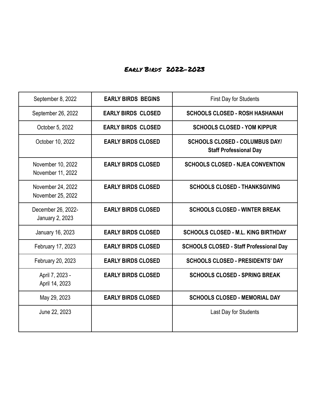# Early Birds 2022-2023

| September 8, 2022                      | <b>EARLY BIRDS BEGINS</b> | <b>First Day for Students</b>                                          |  |  |
|----------------------------------------|---------------------------|------------------------------------------------------------------------|--|--|
| September 26, 2022                     | <b>EARLY BIRDS CLOSED</b> | <b>SCHOOLS CLOSED - ROSH HASHANAH</b>                                  |  |  |
| October 5, 2022                        | <b>EARLY BIRDS CLOSED</b> | <b>SCHOOLS CLOSED - YOM KIPPUR</b>                                     |  |  |
| October 10, 2022                       | <b>EARLY BIRDS CLOSED</b> | <b>SCHOOLS CLOSED - COLUMBUS DAY/</b><br><b>Staff Professional Day</b> |  |  |
| November 10, 2022<br>November 11, 2022 | <b>EARLY BIRDS CLOSED</b> | <b>SCHOOLS CLOSED - NJEA CONVENTION</b>                                |  |  |
| November 24, 2022<br>November 25, 2022 | <b>EARLY BIRDS CLOSED</b> | <b>SCHOOLS CLOSED - THANKSGIVING</b>                                   |  |  |
| December 26, 2022-<br>January 2, 2023  | <b>EARLY BIRDS CLOSED</b> | <b>SCHOOLS CLOSED - WINTER BREAK</b>                                   |  |  |
| January 16, 2023                       | <b>EARLY BIRDS CLOSED</b> | <b>SCHOOLS CLOSED - M.L. KING BIRTHDAY</b>                             |  |  |
| February 17, 2023                      | <b>EARLY BIRDS CLOSED</b> | <b>SCHOOLS CLOSED - Staff Professional Day</b>                         |  |  |
| February 20, 2023                      | <b>EARLY BIRDS CLOSED</b> | <b>SCHOOLS CLOSED - PRESIDENTS' DAY</b>                                |  |  |
| April 7, 2023 -<br>April 14, 2023      | <b>EARLY BIRDS CLOSED</b> | <b>SCHOOLS CLOSED - SPRING BREAK</b>                                   |  |  |
| May 29, 2023                           | <b>EARLY BIRDS CLOSED</b> | <b>SCHOOLS CLOSED - MEMORIAL DAY</b>                                   |  |  |
| June 22, 2023                          |                           | Last Day for Students                                                  |  |  |